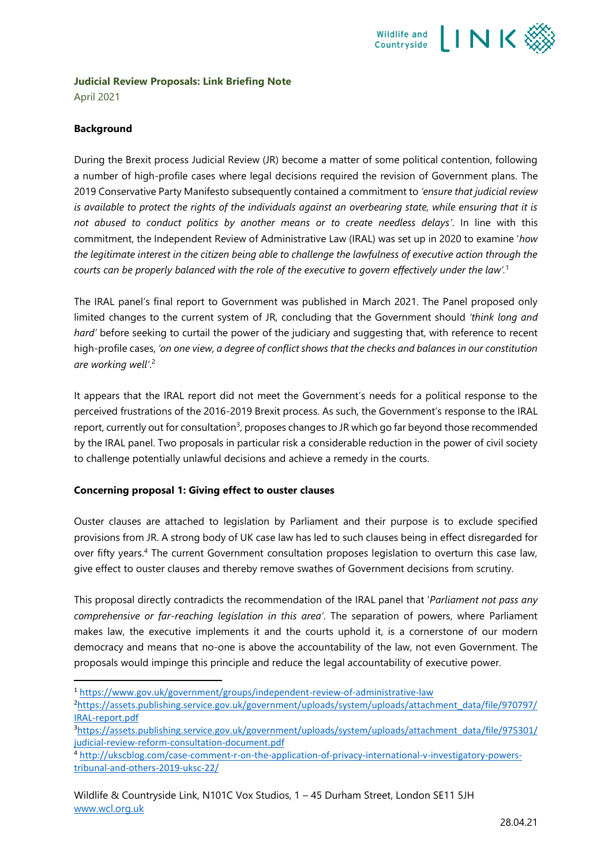

# **Judicial Review Proposals: Link Briefing Note**

April 2021

# **Background**

During the Brexit process Judicial Review (JR) become a matter of some political contention, following a number of high-profile cases where legal decisions required the revision of Government plans. The 2019 Conservative Party Manifesto subsequently contained a commitment to *'ensure that judicial review is available to protect the rights of the individuals against an overbearing state, while ensuring that it is not abused to conduct politics by another means or to create needless delays'*. In line with this commitment, the Independent Review of Administrative Law (IRAL) was set up in 2020 to examine '*how the legitimate interest in the citizen being able to challenge the lawfulness of executive action through the courts can be properly balanced with the role of the executive to govern effectively under the law'.* 1

The IRAL panel's final report to Government was published in March 2021. The Panel proposed only limited changes to the current system of JR, concluding that the Government should *'think long and hard'* before seeking to curtail the power of the judiciary and suggesting that, with reference to recent high-profile cases, *'on one view, a degree of conflict shows that the checks and balances in our constitution are working well'*. 2

It appears that the IRAL report did not meet the Government's needs for a political response to the perceived frustrations of the 2016-2019 Brexit process. As such, the Government's response to the IRAL report, currently out for consultation<sup>3</sup>, proposes changes to JR which go far beyond those recommended by the IRAL panel. Two proposals in particular risk a considerable reduction in the power of civil society to challenge potentially unlawful decisions and achieve a remedy in the courts.

## **Concerning proposal 1: Giving effect to ouster clauses**

Ouster clauses are attached to legislation by Parliament and their purpose is to exclude specified provisions from JR. A strong body of UK case law has led to such clauses being in effect disregarded for over fifty years. <sup>4</sup> The current Government consultation proposes legislation to overturn this case law, give effect to ouster clauses and thereby remove swathes of Government decisions from scrutiny.

This proposal directly contradicts the recommendation of the IRAL panel that '*Parliament not pass any comprehensive or far-reaching legislation in this area'*. The separation of powers, where Parliament makes law, the executive implements it and the courts uphold it, is a cornerstone of our modern democracy and means that no-one is above the accountability of the law, not even Government. The proposals would impinge this principle and reduce the legal accountability of executive power.

<sup>1</sup> <https://www.gov.uk/government/groups/independent-review-of-administrative-law>

<sup>&</sup>lt;sup>2</sup>[https://assets.publishing.service.gov.uk/government/uploads/system/uploads/attachment\\_data/file/970797/](https://assets.publishing.service.gov.uk/government/uploads/system/uploads/attachment_data/file/970797/IRAL-report.pdf) [IRAL-report.pdf](https://assets.publishing.service.gov.uk/government/uploads/system/uploads/attachment_data/file/970797/IRAL-report.pdf)

<sup>3</sup>[https://assets.publishing.service.gov.uk/government/uploads/system/uploads/attachment\\_data/file/975301/](https://assets.publishing.service.gov.uk/government/uploads/system/uploads/attachment_data/file/975301/judicial-review-reform-consultation-document.pdf) [judicial-review-reform-consultation-document.pdf](https://assets.publishing.service.gov.uk/government/uploads/system/uploads/attachment_data/file/975301/judicial-review-reform-consultation-document.pdf)

<sup>4</sup> [http://ukscblog.com/case-comment-r-on-the-application-of-privacy-international-v-investigatory-powers](http://ukscblog.com/case-comment-r-on-the-application-of-privacy-international-v-investigatory-powers-tribunal-and-others-2019-uksc-22/)[tribunal-and-others-2019-uksc-22/](http://ukscblog.com/case-comment-r-on-the-application-of-privacy-international-v-investigatory-powers-tribunal-and-others-2019-uksc-22/)